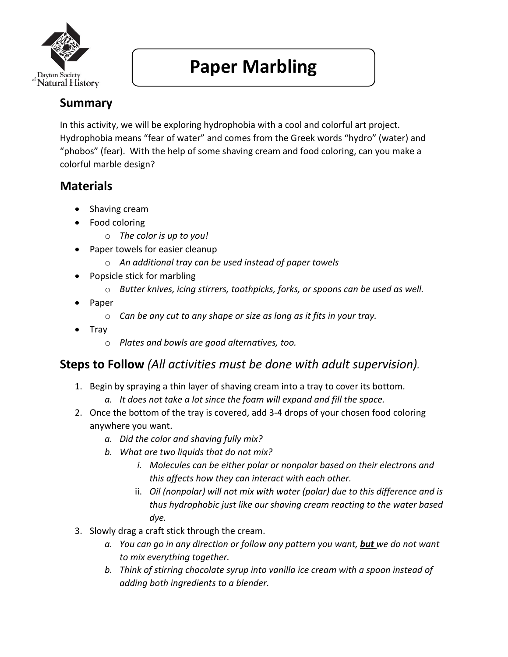

## **Paper Marbling**

## **Summary**

In this activity, we will be exploring hydrophobia with a cool and colorful art project. Hydrophobia means "fear of water" and comes from the Greek words "hydro" (water) and "phobos" (fear). With the help of some shaving cream and food coloring, can you make a colorful marble design?

## **Materials**

- Shaving cream
- Food coloring
	- o *The color is up to you!*
- Paper towels for easier cleanup
	- o *An additional tray can be used instead of paper towels*
- Popsicle stick for marbling
	- o *Butter knives, icing stirrers, toothpicks, forks, or spoons can be used as well.*
- Paper
	- o *Can be any cut to any shape or size as long as it fits in your tray.*
- Tray
	- o *Plates and bowls are good alternatives, too.*

## **Steps to Follow** *(All activities must be done with adult supervision).*

- 1. Begin by spraying a thin layer of shaving cream into a tray to cover its bottom.
	- *a. It does not take a lot since the foam will expand and fill the space.*
- 2. Once the bottom of the tray is covered, add 3-4 drops of your chosen food coloring anywhere you want.
	- *a. Did the color and shaving fully mix?*
	- *b. What are two liquids that do not mix?*
		- *i. Molecules can be either polar or nonpolar based on their electrons and this affects how they can interact with each other.*
		- ii. *Oil (nonpolar) will not mix with water (polar) due to this difference and is thus hydrophobic just like our shaving cream reacting to the water based dye.*
- 3. Slowly drag a craft stick through the cream.
	- *a. You can go in any direction or follow any pattern you want, but we do not want to mix everything together.*
	- *b. Think of stirring chocolate syrup into vanilla ice cream with a spoon instead of adding both ingredients to a blender.*